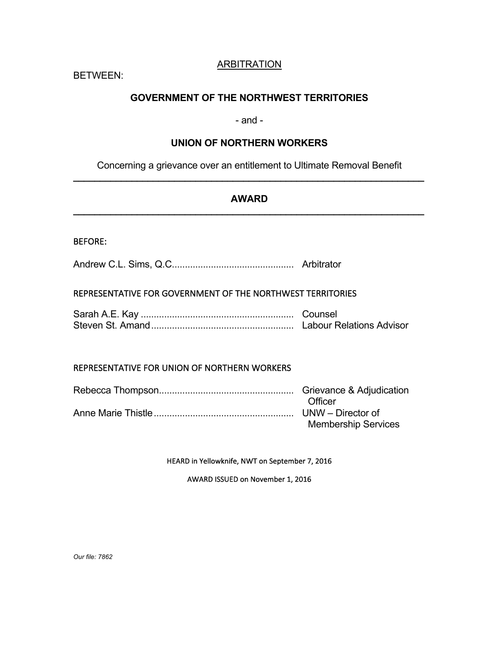# ARBITRATION

BETWEEN:

# **GOVERNMENT OF THE NORTHWEST TERRITORIES**

# - and -

# **UNION OF NORTHERN WORKERS**

Concerning a grievance over an entitlement to Ultimate Removal Benefit **\_\_\_\_\_\_\_\_\_\_\_\_\_\_\_\_\_\_\_\_\_\_\_\_\_\_\_\_\_\_\_\_\_\_\_\_\_\_\_\_\_\_\_\_\_\_\_\_\_\_\_\_\_\_\_\_\_\_\_\_\_\_\_\_\_\_**

# **AWARD \_\_\_\_\_\_\_\_\_\_\_\_\_\_\_\_\_\_\_\_\_\_\_\_\_\_\_\_\_\_\_\_\_\_\_\_\_\_\_\_\_\_\_\_\_\_\_\_\_\_\_\_\_\_\_\_\_\_\_\_\_\_\_\_\_\_**

### BEFORE:

Andrew C.L. Sims, Q.C............................................... Arbitrator

### REPRESENTATIVE FOR GOVERNMENT OF THE NORTHWEST TERRITORIES

| <b>Labour Relations Advisor</b> |
|---------------------------------|

### REPRESENTATIVE FOR UNION OF NORTHERN WORKERS

| <b>Officer</b>             |
|----------------------------|
|                            |
| <b>Membership Services</b> |

HEARD in Yellowknife, NWT on September 7, 2016

AWARD ISSUED on November 1, 2016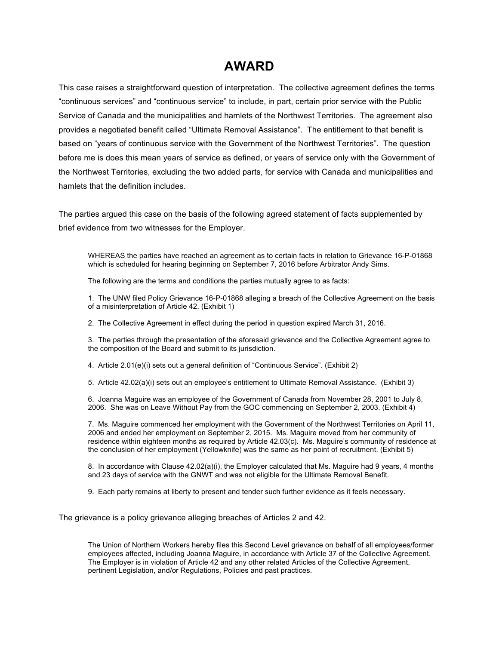# **AWARD**

This case raises a straightforward question of interpretation. The collective agreement defines the terms "continuous services" and "continuous service" to include, in part, certain prior service with the Public Service of Canada and the municipalities and hamlets of the Northwest Territories. The agreement also provides a negotiated benefit called "Ultimate Removal Assistance". The entitlement to that benefit is based on "years of continuous service with the Government of the Northwest Territories". The question before me is does this mean years of service as defined, or years of service only with the Government of the Northwest Territories, excluding the two added parts, for service with Canada and municipalities and hamlets that the definition includes.

The parties argued this case on the basis of the following agreed statement of facts supplemented by brief evidence from two witnesses for the Employer.

WHEREAS the parties have reached an agreement as to certain facts in relation to Grievance 16-P-01868 which is scheduled for hearing beginning on September 7, 2016 before Arbitrator Andy Sims.

The following are the terms and conditions the parties mutually agree to as facts:

1. The UNW filed Policy Grievance 16-P-01868 alleging a breach of the Collective Agreement on the basis of a misinterpretation of Article 42. (Exhibit 1)

2. The Collective Agreement in effect during the period in question expired March 31, 2016.

3. The parties through the presentation of the aforesaid grievance and the Collective Agreement agree to the composition of the Board and submit to its jurisdiction.

4. Article 2.01(e)(i) sets out a general definition of "Continuous Service". (Exhibit 2)

5. Article 42.02(a)(i) sets out an employee's entitlement to Ultimate Removal Assistance. (Exhibit 3)

6. Joanna Maguire was an employee of the Government of Canada from November 28, 2001 to July 8, 2006. She was on Leave Without Pay from the GOC commencing on September 2, 2003. (Exhibit 4)

7. Ms. Maguire commenced her employment with the Government of the Northwest Territories on April 11, 2006 and ended her employment on September 2, 2015. Ms. Maguire moved from her community of residence within eighteen months as required by Article 42.03(c). Ms. Maguire's community of residence at the conclusion of her employment (Yellowknife) was the same as her point of recruitment. (Exhibit 5)

8. In accordance with Clause 42.02(a)(i), the Employer calculated that Ms. Maguire had 9 years, 4 months and 23 days of service with the GNWT and was not eligible for the Ultimate Removal Benefit.

9. Each party remains at liberty to present and tender such further evidence as it feels necessary.

The grievance is a policy grievance alleging breaches of Articles 2 and 42.

The Union of Northern Workers hereby files this Second Level grievance on behalf of all employees/former employees affected, including Joanna Maguire, in accordance with Article 37 of the Collective Agreement. The Employer is in violation of Article 42 and any other related Articles of the Collective Agreement, pertinent Legislation, and/or Regulations, Policies and past practices.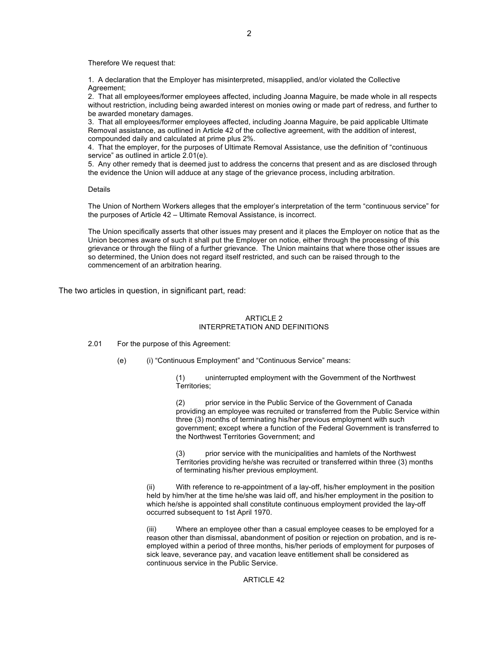Therefore We request that:

1. A declaration that the Employer has misinterpreted, misapplied, and/or violated the Collective Agreement;

2. That all employees/former employees affected, including Joanna Maguire, be made whole in all respects without restriction, including being awarded interest on monies owing or made part of redress, and further to be awarded monetary damages.

3. That all employees/former employees affected, including Joanna Maguire, be paid applicable Ultimate Removal assistance, as outlined in Article 42 of the collective agreement, with the addition of interest, compounded daily and calculated at prime plus 2%.

4. That the employer, for the purposes of Ultimate Removal Assistance, use the definition of "continuous service" as outlined in article 2.01(e).

5. Any other remedy that is deemed just to address the concerns that present and as are disclosed through the evidence the Union will adduce at any stage of the grievance process, including arbitration.

**Details** 

The Union of Northern Workers alleges that the employer's interpretation of the term "continuous service" for the purposes of Article 42 – Ultimate Removal Assistance, is incorrect.

The Union specifically asserts that other issues may present and it places the Employer on notice that as the Union becomes aware of such it shall put the Employer on notice, either through the processing of this grievance or through the filing of a further grievance. The Union maintains that where those other issues are so determined, the Union does not regard itself restricted, and such can be raised through to the commencement of an arbitration hearing.

The two articles in question, in significant part, read:

#### ARTICLE 2 INTERPRETATION AND DEFINITIONS

#### 2.01 For the purpose of this Agreement:

(e) (i) "Continuous Employment" and "Continuous Service" means:

(1) uninterrupted employment with the Government of the Northwest Territories;

(2) prior service in the Public Service of the Government of Canada providing an employee was recruited or transferred from the Public Service within three (3) months of terminating his/her previous employment with such government; except where a function of the Federal Government is transferred to the Northwest Territories Government; and

(3) prior service with the municipalities and hamlets of the Northwest Territories providing he/she was recruited or transferred within three (3) months of terminating his/her previous employment.

(ii) With reference to re-appointment of a lay-off, his/her employment in the position held by him/her at the time he/she was laid off, and his/her employment in the position to which he/she is appointed shall constitute continuous employment provided the lay-off occurred subsequent to 1st April 1970.

(iii) Where an employee other than a casual employee ceases to be employed for a reason other than dismissal, abandonment of position or rejection on probation, and is reemployed within a period of three months, his/her periods of employment for purposes of sick leave, severance pay, and vacation leave entitlement shall be considered as continuous service in the Public Service.

### ARTICLE 42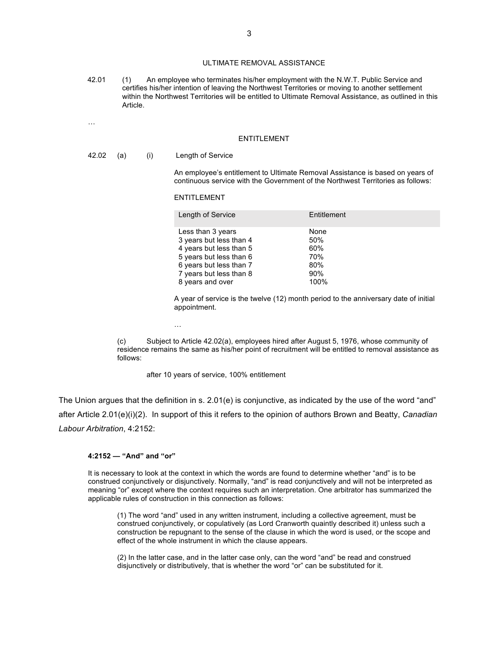### ULTIMATE REMOVAL ASSISTANCE

42.01 (1) An employee who terminates his/her employment with the N.W.T. Public Service and certifies his/her intention of leaving the Northwest Territories or moving to another settlement within the Northwest Territories will be entitled to Ultimate Removal Assistance, as outlined in this Article.

#### **ENTITLEMENT**

#### 42.02 (a) (i) Length of Service

…

An employee's entitlement to Ultimate Removal Assistance is based on years of continuous service with the Government of the Northwest Territories as follows:

#### ENTITLEMENT

…

| Length of Service       | Entitlement |
|-------------------------|-------------|
| Less than 3 years       | None        |
| 3 years but less than 4 | 50%         |
| 4 years but less than 5 | 60%         |
| 5 years but less than 6 | 70%         |
| 6 years but less than 7 | 80%         |
| 7 years but less than 8 | 90%         |
| 8 years and over        | 100%        |

A year of service is the twelve (12) month period to the anniversary date of initial appointment.

(c) Subject to Article 42.02(a), employees hired after August 5, 1976, whose community of residence remains the same as his/her point of recruitment will be entitled to removal assistance as follows:

after 10 years of service, 100% entitlement

The Union argues that the definition in s. 2.01(e) is conjunctive, as indicated by the use of the word "and" after Article 2.01(e)(i)(2). In support of this it refers to the opinion of authors Brown and Beatty, *Canadian Labour Arbitration*, 4:2152:

#### **4:2152 — "And" and "or"**

It is necessary to look at the context in which the words are found to determine whether "and" is to be construed conjunctively or disjunctively. Normally, "and" is read conjunctively and will not be interpreted as meaning "or" except where the context requires such an interpretation. One arbitrator has summarized the applicable rules of construction in this connection as follows:

(1) The word "and" used in any written instrument, including a collective agreement, must be construed conjunctively, or copulatively (as Lord Cranworth quaintly described it) unless such a construction be repugnant to the sense of the clause in which the word is used, or the scope and effect of the whole instrument in which the clause appears.

(2) In the latter case, and in the latter case only, can the word "and" be read and construed disjunctively or distributively, that is whether the word "or" can be substituted for it.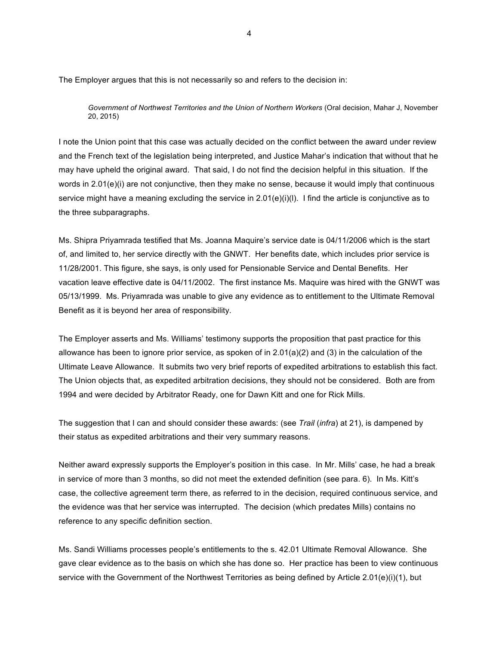The Employer argues that this is not necessarily so and refers to the decision in:

*Government of Northwest Territories and the Union of Northern Workers* (Oral decision, Mahar J, November 20, 2015)

I note the Union point that this case was actually decided on the conflict between the award under review and the French text of the legislation being interpreted, and Justice Mahar's indication that without that he may have upheld the original award. That said, I do not find the decision helpful in this situation. If the words in 2.01(e)(i) are not conjunctive, then they make no sense, because it would imply that continuous service might have a meaning excluding the service in 2.01(e)(i)(l). I find the article is conjunctive as to the three subparagraphs.

Ms. Shipra Priyamrada testified that Ms. Joanna Maquire's service date is 04/11/2006 which is the start of, and limited to, her service directly with the GNWT. Her benefits date, which includes prior service is 11/28/2001. This figure, she says, is only used for Pensionable Service and Dental Benefits. Her vacation leave effective date is 04/11/2002. The first instance Ms. Maquire was hired with the GNWT was 05/13/1999. Ms. Priyamrada was unable to give any evidence as to entitlement to the Ultimate Removal Benefit as it is beyond her area of responsibility.

The Employer asserts and Ms. Williams' testimony supports the proposition that past practice for this allowance has been to ignore prior service, as spoken of in 2.01(a)(2) and (3) in the calculation of the Ultimate Leave Allowance. It submits two very brief reports of expedited arbitrations to establish this fact. The Union objects that, as expedited arbitration decisions, they should not be considered. Both are from 1994 and were decided by Arbitrator Ready, one for Dawn Kitt and one for Rick Mills.

The suggestion that I can and should consider these awards: (see *Trail* (*infra*) at 21), is dampened by their status as expedited arbitrations and their very summary reasons.

Neither award expressly supports the Employer's position in this case. In Mr. Mills' case, he had a break in service of more than 3 months, so did not meet the extended definition (see para. 6). In Ms. Kitt's case, the collective agreement term there, as referred to in the decision, required continuous service, and the evidence was that her service was interrupted. The decision (which predates Mills) contains no reference to any specific definition section.

Ms. Sandi Williams processes people's entitlements to the s. 42.01 Ultimate Removal Allowance. She gave clear evidence as to the basis on which she has done so. Her practice has been to view continuous service with the Government of the Northwest Territories as being defined by Article 2.01(e)(i)(1), but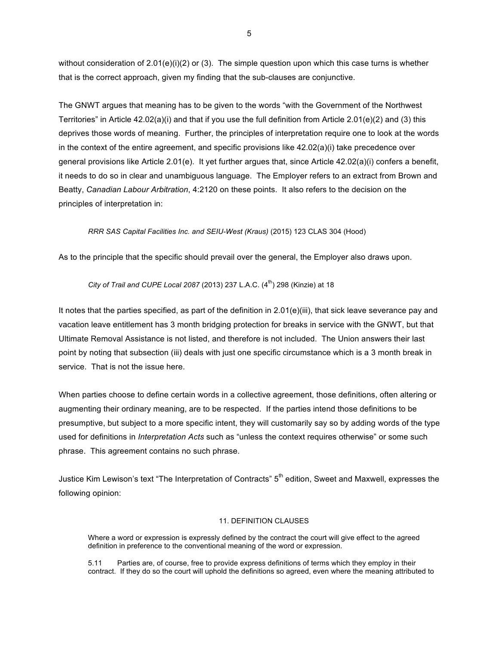without consideration of  $2.01(e)(i)(2)$  or (3). The simple question upon which this case turns is whether that is the correct approach, given my finding that the sub-clauses are conjunctive.

The GNWT argues that meaning has to be given to the words "with the Government of the Northwest Territories" in Article  $42.02(a)(i)$  and that if you use the full definition from Article  $2.01(e)(2)$  and (3) this deprives those words of meaning. Further, the principles of interpretation require one to look at the words in the context of the entire agreement, and specific provisions like 42.02(a)(i) take precedence over general provisions like Article 2.01(e). It yet further argues that, since Article 42.02(a)(i) confers a benefit, it needs to do so in clear and unambiguous language. The Employer refers to an extract from Brown and Beatty, *Canadian Labour Arbitration*, 4:2120 on these points. It also refers to the decision on the principles of interpretation in:

### *RRR SAS Capital Facilities Inc. and SEIU-West (Kraus)* (2015) 123 CLAS 304 (Hood)

As to the principle that the specific should prevail over the general, the Employer also draws upon.

### *City of Trail and CUPE Local 2087* (2013) 237 L.A.C. (4<sup>th</sup>) 298 (Kinzie) at 18

It notes that the parties specified, as part of the definition in 2.01(e)(iii), that sick leave severance pay and vacation leave entitlement has 3 month bridging protection for breaks in service with the GNWT, but that Ultimate Removal Assistance is not listed, and therefore is not included. The Union answers their last point by noting that subsection (iii) deals with just one specific circumstance which is a 3 month break in service. That is not the issue here.

When parties choose to define certain words in a collective agreement, those definitions, often altering or augmenting their ordinary meaning, are to be respected. If the parties intend those definitions to be presumptive, but subject to a more specific intent, they will customarily say so by adding words of the type used for definitions in *Interpretation Acts* such as "unless the context requires otherwise" or some such phrase. This agreement contains no such phrase.

Justice Kim Lewison's text "The Interpretation of Contracts" 5<sup>th</sup> edition, Sweet and Maxwell, expresses the following opinion:

### 11. DEFINITION CLAUSES

Where a word or expression is expressly defined by the contract the court will give effect to the agreed definition in preference to the conventional meaning of the word or expression.

5.11 Parties are, of course, free to provide express definitions of terms which they employ in their contract. If they do so the court will uphold the definitions so agreed, even where the meaning attributed to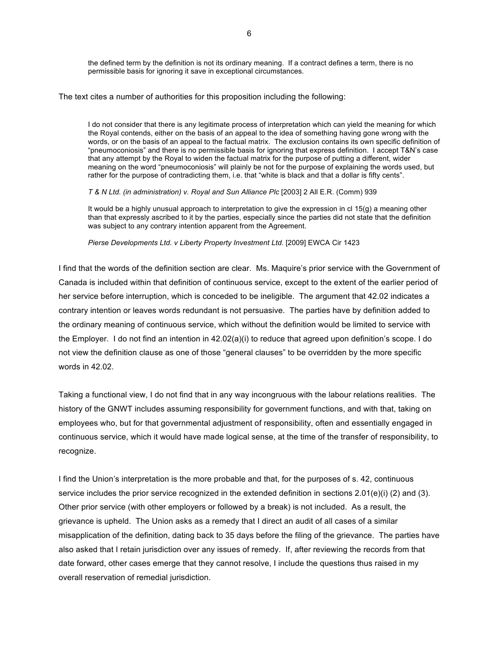the defined term by the definition is not its ordinary meaning. If a contract defines a term, there is no permissible basis for ignoring it save in exceptional circumstances.

The text cites a number of authorities for this proposition including the following:

I do not consider that there is any legitimate process of interpretation which can yield the meaning for which the Royal contends, either on the basis of an appeal to the idea of something having gone wrong with the words, or on the basis of an appeal to the factual matrix. The exclusion contains its own specific definition of "pneumoconiosis" and there is no permissible basis for ignoring that express definition. I accept T&N's case that any attempt by the Royal to widen the factual matrix for the purpose of putting a different, wider meaning on the word "pneumoconiosis" will plainly be not for the purpose of explaining the words used, but rather for the purpose of contradicting them, i.e. that "white is black and that a dollar is fifty cents".

*T & N Ltd. (in administration) v. Royal and Sun Alliance Plc* [2003] 2 All E.R. (Comm) 939

It would be a highly unusual approach to interpretation to give the expression in  $cl 15(q)$  a meaning other than that expressly ascribed to it by the parties, especially since the parties did not state that the definition was subject to any contrary intention apparent from the Agreement.

*Pierse Developments Ltd. v Liberty Property Investment Ltd.* [2009] EWCA Cir 1423

I find that the words of the definition section are clear. Ms. Maquire's prior service with the Government of Canada is included within that definition of continuous service, except to the extent of the earlier period of her service before interruption, which is conceded to be ineligible. The argument that 42.02 indicates a contrary intention or leaves words redundant is not persuasive. The parties have by definition added to the ordinary meaning of continuous service, which without the definition would be limited to service with the Employer. I do not find an intention in 42.02(a)(i) to reduce that agreed upon definition's scope. I do not view the definition clause as one of those "general clauses" to be overridden by the more specific words in 42.02.

Taking a functional view, I do not find that in any way incongruous with the labour relations realities. The history of the GNWT includes assuming responsibility for government functions, and with that, taking on employees who, but for that governmental adjustment of responsibility, often and essentially engaged in continuous service, which it would have made logical sense, at the time of the transfer of responsibility, to recognize.

I find the Union's interpretation is the more probable and that, for the purposes of s. 42, continuous service includes the prior service recognized in the extended definition in sections 2.01(e)(i) (2) and (3). Other prior service (with other employers or followed by a break) is not included. As a result, the grievance is upheld. The Union asks as a remedy that I direct an audit of all cases of a similar misapplication of the definition, dating back to 35 days before the filing of the grievance. The parties have also asked that I retain jurisdiction over any issues of remedy. If, after reviewing the records from that date forward, other cases emerge that they cannot resolve, I include the questions thus raised in my overall reservation of remedial jurisdiction.